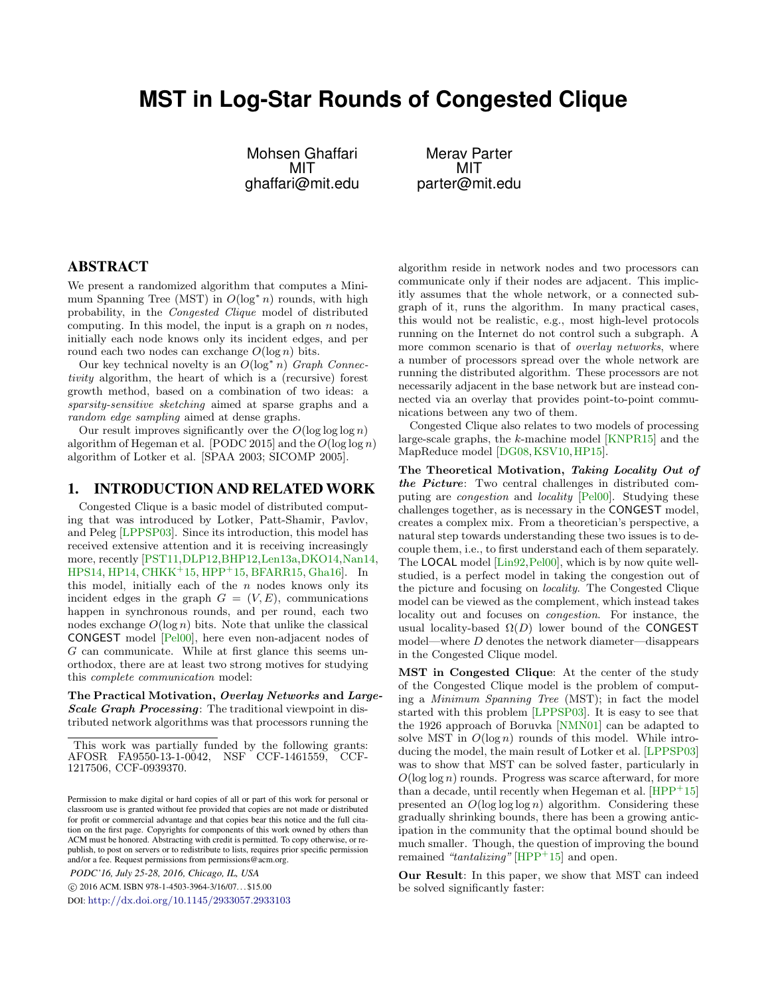# **MST in Log-Star Rounds of Congested Clique**

Mohsen Ghaffari MIT ghaffari@mit.edu

Merav Parter MIT parter@mit.edu

# ABSTRACT

We present a randomized algorithm that computes a Minimum Spanning Tree (MST) in  $O(\log^* n)$  rounds, with high probability, in the Congested Clique model of distributed computing. In this model, the input is a graph on  $n$  nodes, initially each node knows only its incident edges, and per round each two nodes can exchange  $O(\log n)$  bits.

Our key technical novelty is an  $O(log^* n)$  Graph Connectivity algorithm, the heart of which is a (recursive) forest growth method, based on a combination of two ideas: a sparsity-sensitive sketching aimed at sparse graphs and a random edge sampling aimed at dense graphs.

Our result improves significantly over the  $O(\log \log \log n)$ algorithm of Hegeman et al. [PODC 2015] and the  $O(\log \log n)$ algorithm of Lotker et al. [SPAA 2003; SICOMP 2005].

#### 1. INTRODUCTION AND RELATED WORK

Congested Clique is a basic model of distributed computing that was introduced by Lotker, Patt-Shamir, Pavlov, and Peleg [\[LPPSP03\]](#page-9-0). Since its introduction, this model has received extensive attention and it is receiving increasingly more, recently [\[PST11,](#page-9-1)[DLP12,](#page-8-0)[BHP12,](#page-8-1)[Len13a,](#page-9-2)[DKO14,](#page-8-2)[Nan14,](#page-9-3) [HPS14,](#page-9-4) [HP14,](#page-9-5) [CHKK](#page-8-3)<sup>+</sup>15, [HPP](#page-9-6)<sup>+</sup>15, [BFARR15,](#page-8-4) [Gha16\]](#page-9-7). In this model, initially each of the  $n$  nodes knows only its incident edges in the graph  $G = (V, E)$ , communications happen in synchronous rounds, and per round, each two nodes exchange  $O(\log n)$  bits. Note that unlike the classical CONGEST model [\[Pel00\]](#page-9-8), here even non-adjacent nodes of  $G$  can communicate. While at first glance this seems unorthodox, there are at least two strong motives for studying this complete communication model:

The Practical Motivation, Overlay Networks and Large-Scale Graph Processing: The traditional viewpoint in distributed network algorithms was that processors running the

*PODC'16, July 25-28, 2016, Chicago, IL, USA*

c 2016 ACM. ISBN 978-1-4503-3964-3/16/07. . . \$15.00

DOI: <http://dx.doi.org/10.1145/2933057.2933103>

algorithm reside in network nodes and two processors can communicate only if their nodes are adjacent. This implicitly assumes that the whole network, or a connected subgraph of it, runs the algorithm. In many practical cases, this would not be realistic, e.g., most high-level protocols running on the Internet do not control such a subgraph. A more common scenario is that of *overlay networks*, where a number of processors spread over the whole network are running the distributed algorithm. These processors are not necessarily adjacent in the base network but are instead connected via an overlay that provides point-to-point communications between any two of them.

Congested Clique also relates to two models of processing large-scale graphs, the k-machine model [\[KNPR15\]](#page-9-9) and the MapReduce model [\[DG08,](#page-8-5) [KSV10,](#page-9-10) [HP15\]](#page-9-11).

The Theoretical Motivation, Taking Locality Out of the Picture: Two central challenges in distributed computing are congestion and locality [\[Pel00\]](#page-9-8). Studying these challenges together, as is necessary in the CONGEST model, creates a complex mix. From a theoretician's perspective, a natural step towards understanding these two issues is to decouple them, i.e., to first understand each of them separately. The LOCAL model [\[Lin92,](#page-9-12) [Pel00\]](#page-9-8), which is by now quite wellstudied, is a perfect model in taking the congestion out of the picture and focusing on locality. The Congested Clique model can be viewed as the complement, which instead takes locality out and focuses on congestion. For instance, the usual locality-based  $\Omega(D)$  lower bound of the CONGEST model—where D denotes the network diameter—disappears in the Congested Clique model.

MST in Congested Clique: At the center of the study of the Congested Clique model is the problem of computing a Minimum Spanning Tree (MST); in fact the model started with this problem [\[LPPSP03\]](#page-9-0). It is easy to see that the 1926 approach of Boruvka [\[NMN01\]](#page-9-13) can be adapted to solve MST in  $O(\log n)$  rounds of this model. While introducing the model, the main result of Lotker et al. [\[LPPSP03\]](#page-9-0) was to show that MST can be solved faster, particularly in  $O(\log \log n)$  rounds. Progress was scarce afterward, for more than a decade, until recently when Hegeman et al.  $[HPP<sup>+</sup>15]$  $[HPP<sup>+</sup>15]$ presented an  $O(\log \log n)$  algorithm. Considering these gradually shrinking bounds, there has been a growing anticipation in the community that the optimal bound should be much smaller. Though, the question of improving the bound remained "tantalizing"  $[HPP^+15]$  $[HPP^+15]$  and open.

Our Result: In this paper, we show that MST can indeed be solved significantly faster:

This work was partially funded by the following grants: AFOSR FA9550-13-1-0042, NSF CCF-1461559, CCF-1217506, CCF-0939370.

Permission to make digital or hard copies of all or part of this work for personal or classroom use is granted without fee provided that copies are not made or distributed for profit or commercial advantage and that copies bear this notice and the full citation on the first page. Copyrights for components of this work owned by others than ACM must be honored. Abstracting with credit is permitted. To copy otherwise, or republish, to post on servers or to redistribute to lists, requires prior specific permission and/or a fee. Request permissions from permissions@acm.org.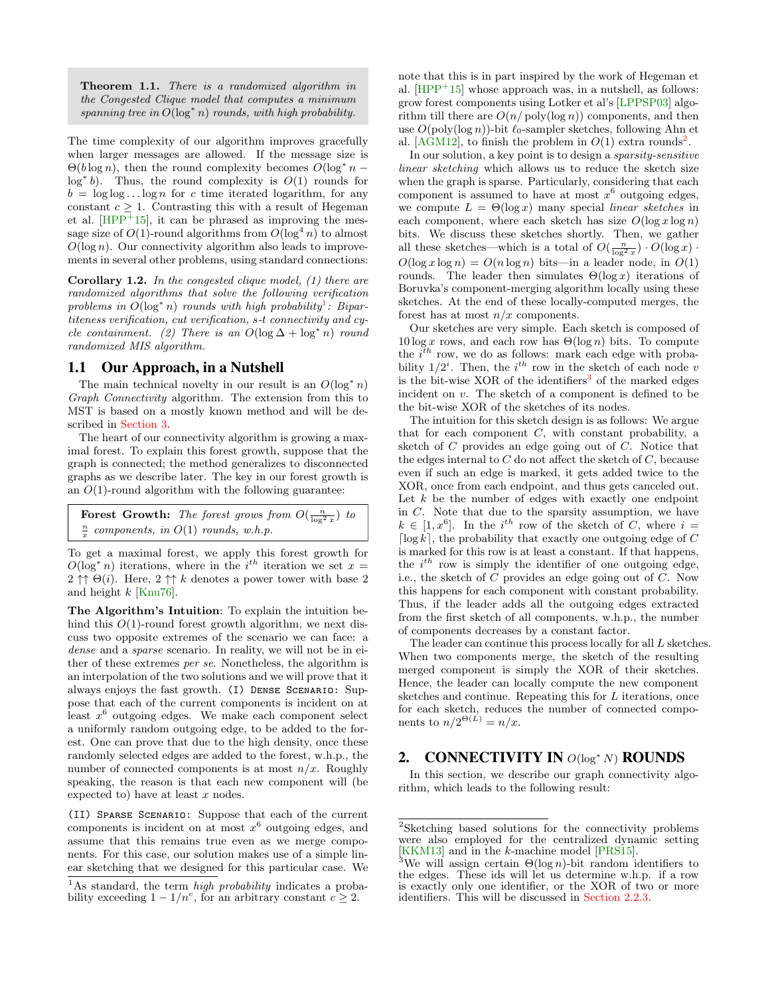Theorem 1.1. There is a randomized algorithm in the Congested Clique model that computes a minimum spanning tree in  $O(\log^* n)$  rounds, with high probability.

The time complexity of our algorithm improves gracefully when larger messages are allowed. If the message size is  $\Theta(b \log n)$ , then the round complexity becomes  $O(\log^* n$ log<sup>\*</sup> b). Thus, the round complexity is  $O(1)$  rounds for  $b = \log \log \ldots \log n$  for c time iterated logarithm, for any constant  $c \geq 1$ . Contrasting this with a result of Hegeman et al.  $[HPP<sup>+</sup>15]$  $[HPP<sup>+</sup>15]$ , it can be phrased as improving the message size of  $O(1)$ -round algorithms from  $O(\log^4 n)$  to almost  $O(\log n)$ . Our connectivity algorithm also leads to improvements in several other problems, using standard connections:

Corollary 1.2. In the congested clique model, (1) there are randomized algorithms that solve the following verification problems in  $O(\log^* n)$  rounds with high probability<sup>[1](#page-1-0)</sup>: Bipartiteness verification, cut verification, s-t connectivity and cycle containment. (2) There is an  $O(\log \Delta + \log^* n)$  round randomized MIS algorithm.

#### 1.1 Our Approach, in a Nutshell

The main technical novelty in our result is an  $O(\log^* n)$ Graph Connectivity algorithm. The extension from this to MST is based on a mostly known method and will be described in [Section 3.](#page-7-0)

The heart of our connectivity algorithm is growing a maximal forest. To explain this forest growth, suppose that the graph is connected; the method generalizes to disconnected graphs as we describe later. The key in our forest growth is an  $O(1)$ -round algorithm with the following guarantee:

```
Forest Growth: The forest grows from O(\frac{n}{\log^2 x}) to
\frac{n}{x} components, in O(1) rounds, w.h.p.
```
To get a maximal forest, we apply this forest growth for  $O(\log^* n)$  iterations, where in the i<sup>th</sup> iteration we set  $x =$  $2 \uparrow \uparrow \Theta(i)$ . Here,  $2 \uparrow \uparrow k$  denotes a power tower with base 2 and height  $k$  [\[Knu76\]](#page-9-14).

The Algorithm's Intuition: To explain the intuition behind this  $O(1)$ -round forest growth algorithm, we next discuss two opposite extremes of the scenario we can face: a dense and a sparse scenario. In reality, we will not be in either of these extremes per se. Nonetheless, the algorithm is an interpolation of the two solutions and we will prove that it always enjoys the fast growth. (I) Dense Scenario: Suppose that each of the current components is incident on at least  $x^6$  outgoing edges. We make each component select a uniformly random outgoing edge, to be added to the forest. One can prove that due to the high density, once these randomly selected edges are added to the forest, w.h.p., the number of connected components is at most  $n/x$ . Roughly speaking, the reason is that each new component will (be expected to) have at least  $x$  nodes.

(II) Sparse Scenario: Suppose that each of the current components is incident on at most  $x^6$  outgoing edges, and assume that this remains true even as we merge components. For this case, our solution makes use of a simple linear sketching that we designed for this particular case. We note that this is in part inspired by the work of Hegeman et al.  $[HPP<sup>+</sup>15]$  $[HPP<sup>+</sup>15]$  whose approach was, in a nutshell, as follows: grow forest components using Lotker et al's [\[LPPSP03\]](#page-9-0) algorithm till there are  $O(n/\text{poly}(\log n))$  components, and then use  $O(\text{poly}(\log n))$ -bit  $\ell_0$ -sampler sketches, following Ahn et al. [\[AGM12\]](#page-8-6), to finish the problem in  $O(1)$  extra rounds<sup>[2](#page-1-1)</sup>.

In our solution, a key point is to design a sparsity-sensitive linear sketching which allows us to reduce the sketch size when the graph is sparse. Particularly, considering that each component is assumed to have at most  $x^6$  outgoing edges, we compute  $L = \Theta(\log x)$  many special linear sketches in each component, where each sketch has size  $O(\log x \log n)$ bits. We discuss these sketches shortly. Then, we gather all these sketches—which is a total of  $O(\frac{n}{\log^2 x}) \cdot O(\log x)$ .  $O(\log x \log n) = O(n \log n)$  bits—in a leader node, in  $O(1)$ rounds. The leader then simulates  $\Theta(\log x)$  iterations of Boruvka's component-merging algorithm locally using these sketches. At the end of these locally-computed merges, the forest has at most  $n/x$  components.

Our sketches are very simple. Each sketch is composed of  $10 \log x$  rows, and each row has  $\Theta(\log n)$  bits. To compute the  $i^{th}$  row, we do as follows: mark each edge with probability  $1/2^i$ . Then, the  $i^{th}$  row in the sketch of each node v is the bit-wise XOR of the identifiers<sup>[3](#page-1-2)</sup> of the marked edges incident on v. The sketch of a component is defined to be the bit-wise XOR of the sketches of its nodes.

The intuition for this sketch design is as follows: We argue that for each component  $C$ , with constant probability, a sketch of C provides an edge going out of C. Notice that the edges internal to  $C$  do not affect the sketch of  $C$ , because even if such an edge is marked, it gets added twice to the XOR, once from each endpoint, and thus gets canceled out. Let  $k$  be the number of edges with exactly one endpoint in C. Note that due to the sparsity assumption, we have  $k \in [1, x^6]$ . In the i<sup>th</sup> row of the sketch of C, where i = [ $\log k$ ], the probability that exactly one outgoing edge of C is marked for this row is at least a constant. If that happens, the  $i^{th}$  row is simply the identifier of one outgoing edge, i.e., the sketch of  $\tilde{C}$  provides an edge going out of  $C$ . Now this happens for each component with constant probability. Thus, if the leader adds all the outgoing edges extracted from the first sketch of all components, w.h.p., the number of components decreases by a constant factor.

The leader can continue this process locally for all L sketches. When two components merge, the sketch of the resulting merged component is simply the XOR of their sketches. Hence, the leader can locally compute the new component sketches and continue. Repeating this for L iterations, once for each sketch, reduces the number of connected components to  $n/2^{\Theta(L)} = n/x$ .

## <span id="page-1-3"></span>2. CONNECTIVITY IN  $O(\log^* N)$  ROUNDS

In this section, we describe our graph connectivity algorithm, which leads to the following result:

<span id="page-1-0"></span><sup>&</sup>lt;sup>1</sup>As standard, the term *high probability* indicates a probability exceeding  $1 - 1/n^c$ , for an arbitrary constant  $c \geq 2$ .

<span id="page-1-1"></span><sup>2</sup>Sketching based solutions for the connectivity problems were also employed for the centralized dynamic setting [\[KKM13\]](#page-9-15) and in the k-machine model [\[PRS15\]](#page-9-16).

<span id="page-1-2"></span>We will assign certain  $\Theta(\log n)$ -bit random identifiers to the edges. These ids will let us determine w.h.p. if a row is exactly only one identifier, or the XOR of two or more identifiers. This will be discussed in [Section 2.2.3.](#page-4-0)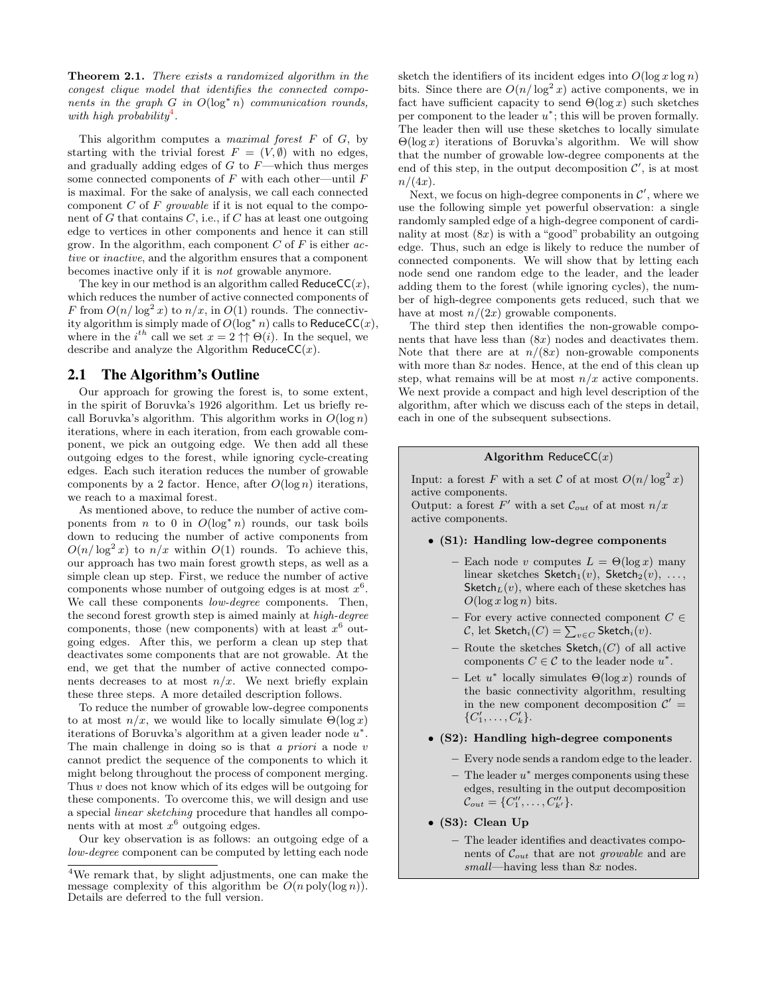Theorem 2.1. There exists a randomized algorithm in the congest clique model that identifies the connected components in the graph  $G$  in  $O(log^* n)$  communication rounds, with high probability<sup>[4](#page-2-0)</sup>.

This algorithm computes a *maximal forest*  $F$  of  $G$ , by starting with the trivial forest  $F = (V, \emptyset)$  with no edges, and gradually adding edges of  $G$  to  $F$ —which thus merges some connected components of  $F$  with each other—until  $F$ is maximal. For the sake of analysis, we call each connected component  $C$  of  $F$  growable if it is not equal to the component of  $G$  that contains  $C$ , i.e., if  $C$  has at least one outgoing edge to vertices in other components and hence it can still grow. In the algorithm, each component  $C$  of  $F$  is either  $ac$ tive or inactive, and the algorithm ensures that a component becomes inactive only if it is not growable anymore.

The key in our method is an algorithm called  $\textsf{ReduceCC}(x)$ , which reduces the number of active connected components of F from  $O(n/\log^2 x)$  to  $n/x$ , in  $O(1)$  rounds. The connectivity algorithm is simply made of  $O(\log^* n)$  calls to ReduceCC(x), where in the  $i^{th}$  call we set  $x = 2 \uparrow \uparrow \Theta(i)$ . In the sequel, we describe and analyze the Algorithm ReduceCC $(x)$ .

## 2.1 The Algorithm's Outline

Our approach for growing the forest is, to some extent, in the spirit of Boruvka's 1926 algorithm. Let us briefly recall Boruvka's algorithm. This algorithm works in  $O(\log n)$ iterations, where in each iteration, from each growable component, we pick an outgoing edge. We then add all these outgoing edges to the forest, while ignoring cycle-creating edges. Each such iteration reduces the number of growable components by a 2 factor. Hence, after  $O(\log n)$  iterations, we reach to a maximal forest.

As mentioned above, to reduce the number of active components from *n* to 0 in  $O(\log^* n)$  rounds, our task boils down to reducing the number of active components from  $O(n/\log^2 x)$  to  $n/x$  within  $O(1)$  rounds. To achieve this, our approach has two main forest growth steps, as well as a simple clean up step. First, we reduce the number of active components whose number of outgoing edges is at most  $x^6$ . We call these components *low-degree* components. Then, the second forest growth step is aimed mainly at high-degree components, those (new components) with at least  $x^6$  outgoing edges. After this, we perform a clean up step that deactivates some components that are not growable. At the end, we get that the number of active connected components decreases to at most  $n/x$ . We next briefly explain these three steps. A more detailed description follows.

To reduce the number of growable low-degree components to at most  $n/x$ , we would like to locally simulate  $\Theta(\log x)$ iterations of Boruvka's algorithm at a given leader node  $u^*$ . The main challenge in doing so is that  $a$  priori a node  $v$ cannot predict the sequence of the components to which it might belong throughout the process of component merging. Thus v does not know which of its edges will be outgoing for these components. To overcome this, we will design and use a special linear sketching procedure that handles all components with at most  $x^6$  outgoing edges.

Our key observation is as follows: an outgoing edge of a low-degree component can be computed by letting each node sketch the identifiers of its incident edges into  $O(\log x \log n)$ bits. Since there are  $O(n/\log^2 x)$  active components, we in fact have sufficient capacity to send  $\Theta(\log x)$  such sketches per component to the leader  $u^*$ ; this will be proven formally. The leader then will use these sketches to locally simulate  $\Theta(\log x)$  iterations of Boruvka's algorithm. We will show that the number of growable low-degree components at the end of this step, in the output decomposition  $\mathcal{C}'$ , is at most  $n/(4x)$ .

Next, we focus on high-degree components in  $\mathcal{C}'$ , where we use the following simple yet powerful observation: a single randomly sampled edge of a high-degree component of cardinality at most  $(8x)$  is with a "good" probability an outgoing edge. Thus, such an edge is likely to reduce the number of connected components. We will show that by letting each node send one random edge to the leader, and the leader adding them to the forest (while ignoring cycles), the number of high-degree components gets reduced, such that we have at most  $n/(2x)$  growable components.

The third step then identifies the non-growable components that have less than  $(8x)$  nodes and deactivates them. Note that there are at  $n/(8x)$  non-growable components with more than  $8x$  nodes. Hence, at the end of this clean up step, what remains will be at most  $n/x$  active components. We next provide a compact and high level description of the algorithm, after which we discuss each of the steps in detail, each in one of the subsequent subsections.

#### Algorithm ReduceCC $(x)$

Input: a forest F with a set C of at most  $O(n/\log^2 x)$ active components.

Output: a forest F' with a set  $\mathcal{C}_{out}$  of at most  $n/x$ active components.

#### • (S1): Handling low-degree components

- Each node v computes  $L = \Theta(\log x)$  many linear sketches Sketch $_1(v)$ , Sketch $_2(v)$ , ..., Sketch $_L(v)$ , where each of these sketches has  $O(\log x \log n)$  bits.
- For every active connected component  $C \in$  $\mathcal{C},$  let  $\mathsf{Sketch}_i(C) = \sum_{v \in C} \mathsf{Sketch}_i(v).$
- Route the sketches Sketch<sub>i</sub>(C) of all active components  $C \in \mathcal{C}$  to the leader node  $u^*$ .
- $-$  Let  $u^*$  locally simulates  $\Theta(\log x)$  rounds of the basic connectivity algorithm, resulting in the new component decomposition  $\mathcal{C}'$  $\{C'_1, \ldots, C'_k\}.$

#### • (S2): Handling high-degree components

- Every node sends a random edge to the leader.
- $-$  The leader  $u^*$  merges components using these edges, resulting in the output decomposition  $\mathcal{C}_{out} = \{C''_1, \ldots, C''_{k'}\}.$
- (S3): Clean Up
	- The leader identifies and deactivates components of  $\mathcal{C}_{out}$  that are not *growable* and are small—having less than  $8x$  nodes.

<span id="page-2-0"></span><sup>4</sup>We remark that, by slight adjustments, one can make the message complexity of this algorithm be  $O(n \text{ poly}(\log n))$ . Details are deferred to the full version.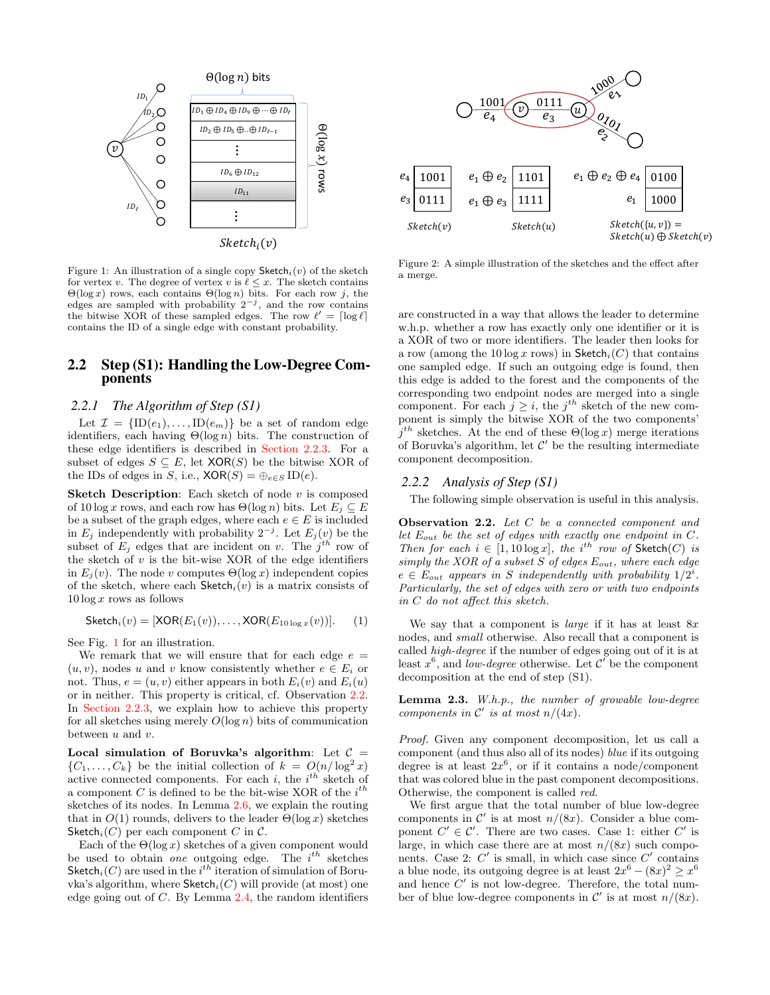<span id="page-3-0"></span>

Figure 1: An illustration of a single copy  $\mathsf{Sketch}_i(v)$  of the sketch for vertex v. The degree of vertex v is  $\ell \leq x$ . The sketch contains  $\Theta(\log x)$  rows, each contains  $\Theta(\log n)$  bits. For each row j, the edges are sampled with probability  $2^{-j}$ , and the row contains the bitwise XOR of these sampled edges. The row  $\ell' = \lceil \log \ell \rceil$ contains the ID of a single edge with constant probability.

## 2.2 Step (S1): Handling the Low-Degree Components

#### *2.2.1 The Algorithm of Step (S1)*

Let  $\mathcal{I} = {\text{ID}(e_1), \ldots, \text{ID}(e_m)}$  be a set of random edge identifiers, each having  $\Theta(\log n)$  bits. The construction of these edge identifiers is described in [Section 2.2.3.](#page-4-0) For a subset of edges  $S \subseteq E$ , let XOR(S) be the bitwise XOR of the IDs of edges in S, i.e.,  $XOR(S) = \bigoplus_{e \in S} ID(e)$ .

**Sketch Description:** Each sketch of node  $v$  is composed of 10 log x rows, and each row has  $\Theta(\log n)$  bits. Let  $E_i \subseteq E$ be a subset of the graph edges, where each  $e \in E$  is included in  $E_j$  independently with probability  $2^{-j}$ . Let  $E_j(v)$  be the subset of  $E_j$  edges that are incident on v. The  $j^{th}$  row of the sketch of  $v$  is the bit-wise XOR of the edge identifiers in  $E_i(v)$ . The node v computes  $\Theta(\log x)$  independent copies of the sketch, where each  $\mathsf{Sketch}_i(v)$  is a matrix consists of  $10 \log x$  rows as follows

$$
\mathsf{Sketch}_i(v) = [\mathsf{XOR}(E_1(v)), \dots, \mathsf{XOR}(E_{10 \log x}(v))]. \tag{1}
$$

See Fig. [1](#page-3-0) for an illustration.

We remark that we will ensure that for each edge  $e =$  $(u, v)$ , nodes u and v know consistently whether  $e \in E_i$  or not. Thus,  $e = (u, v)$  either appears in both  $E_i(v)$  and  $E_i(u)$ or in neither. This property is critical, cf. Observation [2.2.](#page-3-1) In [Section 2.2.3,](#page-4-0) we explain how to achieve this property for all sketches using merely  $O(\log n)$  bits of communication between  $u$  and  $v$ .

Local simulation of Boruvka's algorithm: Let  $C =$  $\{C_1, \ldots, C_k\}$  be the initial collection of  $k = O(n/\log^2 x)$ active connected components. For each i, the  $i^{th}$  sketch of a component C is defined to be the bit-wise XOR of the  $i^{th}$ sketches of its nodes. In Lemma [2.6,](#page-5-0) we explain the routing that in  $O(1)$  rounds, delivers to the leader  $\Theta(\log x)$  sketches Sketch<sub>i</sub>(C) per each component C in C.

Each of the  $\Theta(\log x)$  sketches of a given component would be used to obtain one outgoing edge. The  $i^{th}$  sketches Sketch<sub>i</sub>(C) are used in the i<sup>th</sup> iteration of simulation of Boruvka's algorithm, where  $\mathsf{Sketch}_i(C)$  will provide (at most) one edge going out of  $C$ . By Lemma [2.4,](#page-4-1) the random identifiers



Figure 2: A simple illustration of the sketches and the effect after a merge.

are constructed in a way that allows the leader to determine w.h.p. whether a row has exactly only one identifier or it is a XOR of two or more identifiers. The leader then looks for a row (among the 10 log x rows) in  $\mathsf{Sketch}_i(C)$  that contains one sampled edge. If such an outgoing edge is found, then this edge is added to the forest and the components of the corresponding two endpoint nodes are merged into a single component. For each  $j \geq i$ , the  $j^{th}$  sketch of the new component is simply the bitwise XOR of the two components'  $j<sup>th</sup>$  sketches. At the end of these  $\Theta(\log x)$  merge iterations of Boruvka's algorithm, let  $\mathcal{C}'$  be the resulting intermediate component decomposition.

## *2.2.2 Analysis of Step (S1)*

The following simple observation is useful in this analysis.

<span id="page-3-1"></span>Observation 2.2. Let C be a connected component and let  $E_{out}$  be the set of edges with exactly one endpoint in C. Then for each  $i \in [1, 10 \log x]$ , the i<sup>th</sup> row of Sketch(C) is simply the XOR of a subset S of edges  $E_{out}$ , where each edge  $e \in E_{out}$  appears in S independently with probability  $1/2^i$ . Particularly, the set of edges with zero or with two endpoints in C do not affect this sketch.

We say that a component is *large* if it has at least  $8x$ nodes, and small otherwise. Also recall that a component is called high-degree if the number of edges going out of it is at least  $x^6$ , and low-degree otherwise. Let C' be the component decomposition at the end of step (S1).

<span id="page-3-2"></span>Lemma 2.3. W.h.p., the number of growable low-degree components in  $\mathcal{C}'$  is at most  $n/(4x)$ .

Proof. Given any component decomposition, let us call a component (and thus also all of its nodes) blue if its outgoing degree is at least  $2x^6$ , or if it contains a node/component that was colored blue in the past component decompositions. Otherwise, the component is called red.

We first argue that the total number of blue low-degree components in  $\mathcal{C}'$  is at most  $n/(8x)$ . Consider a blue component  $C' \in \mathcal{C}'$ . There are two cases. Case 1: either  $C'$  is large, in which case there are at most  $n/(8x)$  such components. Case 2:  $C'$  is small, in which case since  $C'$  contains a blue node, its outgoing degree is at least  $2x^6 - (8x)^2 \ge x^6$ and hence  $C'$  is not low-degree. Therefore, the total number of blue low-degree components in  $\mathcal{C}'$  is at most  $n/(8x)$ .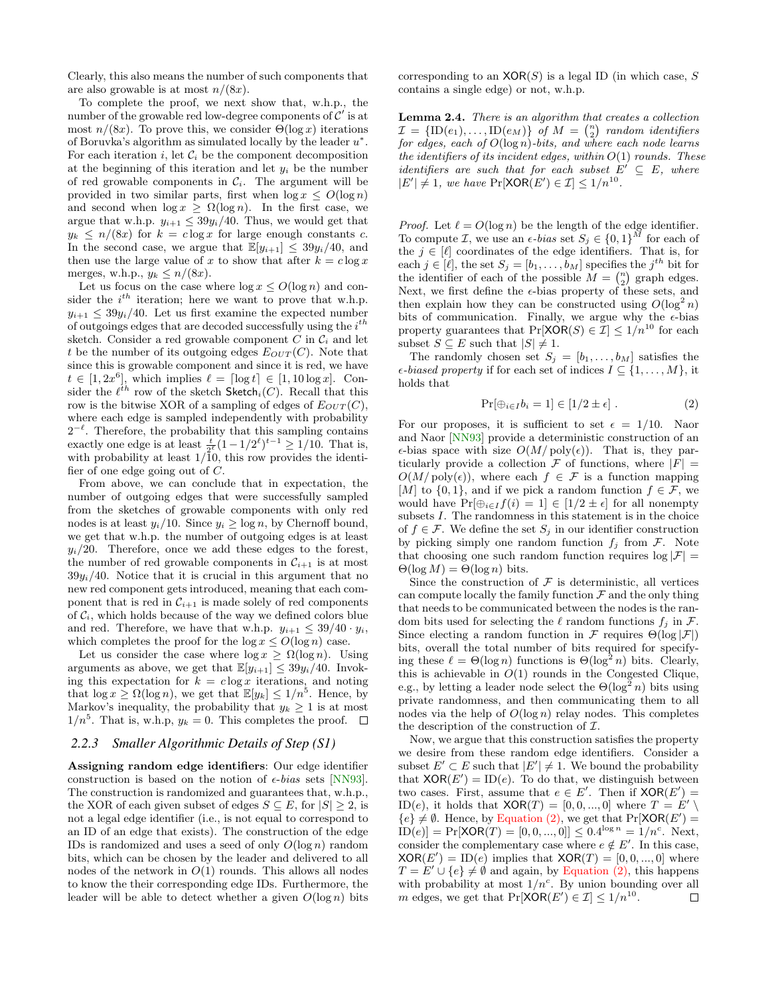Clearly, this also means the number of such components that are also growable is at most  $n/(8x)$ .

To complete the proof, we next show that, w.h.p., the number of the growable red low-degree components of  $\mathcal{C}'$  is at most  $n/(8x)$ . To prove this, we consider  $\Theta(\log x)$  iterations of Boruvka's algorithm as simulated locally by the leader  $u^*$ . For each iteration i, let  $\mathcal{C}_i$  be the component decomposition at the beginning of this iteration and let  $y_i$  be the number of red growable components in  $\mathcal{C}_i$ . The argument will be provided in two similar parts, first when  $\log x \leq O(\log n)$ and second when  $\log x \geq \Omega(\log n)$ . In the first case, we argue that w.h.p.  $y_{i+1} \leq 39y_i/40$ . Thus, we would get that  $y_k \leq n/(8x)$  for  $k = c \log x$  for large enough constants c. In the second case, we argue that  $\mathbb{E}[y_{i+1}] \leq 39y_i/40$ , and then use the large value of x to show that after  $k = c \log x$ merges, w.h.p.,  $y_k \leq n/(8x)$ .

Let us focus on the case where  $\log x \le O(\log n)$  and consider the  $i^{th}$  iteration; here we want to prove that w.h.p.  $y_{i+1} \leq 39y_i/40$ . Let us first examine the expected number of outgoings edges that are decoded successfully using the  $i^{th}$ sketch. Consider a red growable component  $C$  in  $\mathcal{C}_i$  and let t be the number of its outgoing edges  $E_{OUT}(C)$ . Note that since this is growable component and since it is red, we have  $t \in [1, 2x^6]$ , which implies  $\ell = \lceil \log t \rceil \in [1, 10 \log x]$ . Consider the  $\ell^{th}$  row of the sketch Sketch<sub>i</sub>(C). Recall that this row is the bitwise XOR of a sampling of edges of  $E_{OUT}(C)$ , where each edge is sampled independently with probability  $2^{-\ell}$ . Therefore, the probability that this sampling contains exactly one edge is at least  $\frac{t}{2^{\ell}}(1-1/2^{\ell})^{t-1} \geq 1/10$ . That is, with probability at least  $1/10$ , this row provides the identifier of one edge going out of  $C$ .

From above, we can conclude that in expectation, the number of outgoing edges that were successfully sampled from the sketches of growable components with only red nodes is at least  $y_i/10$ . Since  $y_i \ge \log n$ , by Chernoff bound, we get that w.h.p. the number of outgoing edges is at least  $y_i/20$ . Therefore, once we add these edges to the forest, the number of red growable components in  $\mathcal{C}_{i+1}$  is at most  $39y_i/40$ . Notice that it is crucial in this argument that no new red component gets introduced, meaning that each component that is red in  $\mathcal{C}_{i+1}$  is made solely of red components of  $C_i$ , which holds because of the way we defined colors blue and red. Therefore, we have that w.h.p.  $y_{i+1} \leq 39/40 \cdot y_i$ , which completes the proof for the  $\log x \leq O(\log n)$  case.

Let us consider the case where  $\log x \geq \Omega(\log n)$ . Using arguments as above, we get that  $\mathbb{E}[y_{i+1}] \leq 39y_i/40$ . Invoking this expectation for  $k = c \log x$  iterations, and noting that  $\log x \ge \Omega(\log n)$ , we get that  $\mathbb{E}[y_k] \le 1/n^5$ . Hence, by Markov's inequality, the probability that  $y_k \geq 1$  is at most  $1/n^5$ . That is, w.h.p,  $y_k = 0$ . This completes the proof.

#### <span id="page-4-0"></span>*2.2.3 Smaller Algorithmic Details of Step (S1)*

Assigning random edge identifiers: Our edge identifier construction is based on the notion of  $\epsilon$ -bias sets [\[NN93\]](#page-9-17). The construction is randomized and guarantees that, w.h.p., the XOR of each given subset of edges  $S \subseteq E$ , for  $|S| \geq 2$ , is not a legal edge identifier (i.e., is not equal to correspond to an ID of an edge that exists). The construction of the edge IDs is randomized and uses a seed of only  $O(\log n)$  random bits, which can be chosen by the leader and delivered to all nodes of the network in  $O(1)$  rounds. This allows all nodes to know the their corresponding edge IDs. Furthermore, the leader will be able to detect whether a given  $O(\log n)$  bits corresponding to an  $XOR(S)$  is a legal ID (in which case, S contains a single edge) or not, w.h.p.

<span id="page-4-1"></span>Lemma 2.4. There is an algorithm that creates a collection  $\mathcal{I} = {\text{ID}(e_1), \ldots, \text{ID}(e_M)}$  of  $M = \binom{n}{2}$  random identifiers for edges, each of  $O(\log n)$ -bits, and where each node learns the identifiers of its incident edges, within  $O(1)$  rounds. These *identifiers are such that for each subset*  $E' \subseteq E$ , where  $|E'|\neq 1$ , we have  $Pr[\text{XOR}(E') \in \mathcal{I}] \leq 1/n^{10}$ .

*Proof.* Let  $\ell = O(\log n)$  be the length of the edge identifier. To compute *I*, we use an  $\epsilon$ -bias set  $S_j \in \{0,1\}^M$  for each of the  $j \in [\ell]$  coordinates of the edge identifiers. That is, for each  $j \in [\ell]$ , the set  $S_j = [b_1, \ldots, b_M]$  specifies the  $j<sup>th</sup>$  bit for the identifier of each of the possible  $M = \binom{n}{2}$  graph edges. Next, we first define the  $\epsilon$ -bias property of these sets, and then explain how they can be constructed using  $O(\log^2 n)$ bits of communication. Finally, we argue why the  $\epsilon$ -bias property guarantees that  $Pr[XOR(S) \in \mathcal{I}] \leq 1/n^{10}$  for each subset  $S \subseteq E$  such that  $|S| \neq 1$ .

The randomly chosen set  $S_j = [b_1, \ldots, b_M]$  satisfies the  $\epsilon$ -biased property if for each set of indices  $I \subseteq \{1, \ldots, M\}$ , it holds that

<span id="page-4-2"></span>
$$
\Pr[\oplus_{i \in I} b_i = 1] \in [1/2 \pm \epsilon]. \tag{2}
$$

For our proposes, it is sufficient to set  $\epsilon = 1/10$ . Naor and Naor [\[NN93\]](#page-9-17) provide a deterministic construction of an  $\epsilon$ -bias space with size  $O(M/\text{poly}(\epsilon))$ . That is, they particularly provide a collection  $\mathcal F$  of functions, where  $|F| =$  $O(M/\text{poly}(\epsilon))$ , where each  $f \in \mathcal{F}$  is a function mapping [M] to  $\{0,1\}$ , and if we pick a random function  $f \in \mathcal{F}$ , we would have  $Pr[\bigoplus_{i \in I} f(i) = 1] \in [1/2 \pm \epsilon]$  for all nonempty subsets  $I$ . The randomness in this statement is in the choice of  $f \in \mathcal{F}$ . We define the set  $S_j$  in our identifier construction by picking simply one random function  $f_j$  from  $\mathcal{F}$ . Note that choosing one such random function requires  $log |\mathcal{F}| =$  $\Theta(\log M) = \Theta(\log n)$  bits.

Since the construction of  $\mathcal F$  is deterministic, all vertices can compute locally the family function  $\mathcal F$  and the only thing that needs to be communicated between the nodes is the random bits used for selecting the  $\ell$  random functions  $f_j$  in F. Since electing a random function in  $\mathcal F$  requires  $\Theta(\log |\mathcal F|)$ bits, overall the total number of bits required for specifying these  $\ell = \Theta(\log n)$  functions is  $\Theta(\log^2 n)$  bits. Clearly, this is achievable in  $O(1)$  rounds in the Congested Clique, e.g., by letting a leader node select the  $\Theta(\log^2 n)$  bits using private randomness, and then communicating them to all nodes via the help of  $O(\log n)$  relay nodes. This completes the description of the construction of  $\mathcal{I}$ .

Now, we argue that this construction satisfies the property we desire from these random edge identifiers. Consider a subset  $E' \subset E$  such that  $|E'| \neq 1$ . We bound the probability that  $XOR(E') = ID(e)$ . To do that, we distinguish between two cases. First, assume that  $e \in E'$ . Then if  $XOR(E') =$ ID(e), it holds that  $XOR(T) = [0, 0, ..., 0]$  where  $T = E' \setminus$  ${e} \neq \emptyset$ . Hence, by [Equation \(2\),](#page-4-2) we get that  $Pr[XOR(E')]=$  $\overline{ID}(e)$  = Pr  $[XOR(T) = [0, 0, ..., 0]] \leq 0.4^{\log n} = 1/n^c$ . Next, consider the complementary case where  $e \notin E'$ . In this case,  $XOR(E') = ID(e)$  implies that  $XOR(T) = [0, 0, ..., 0]$  where  $T = E' \cup \{e\} \neq \emptyset$  and again, by [Equation \(2\),](#page-4-2) this happens with probability at most  $1/n^c$ . By union bounding over all m edges, we get that  $Pr[\text{XOR}(E') \in \mathcal{I}] \leq 1/n^{10}$ .  $\Box$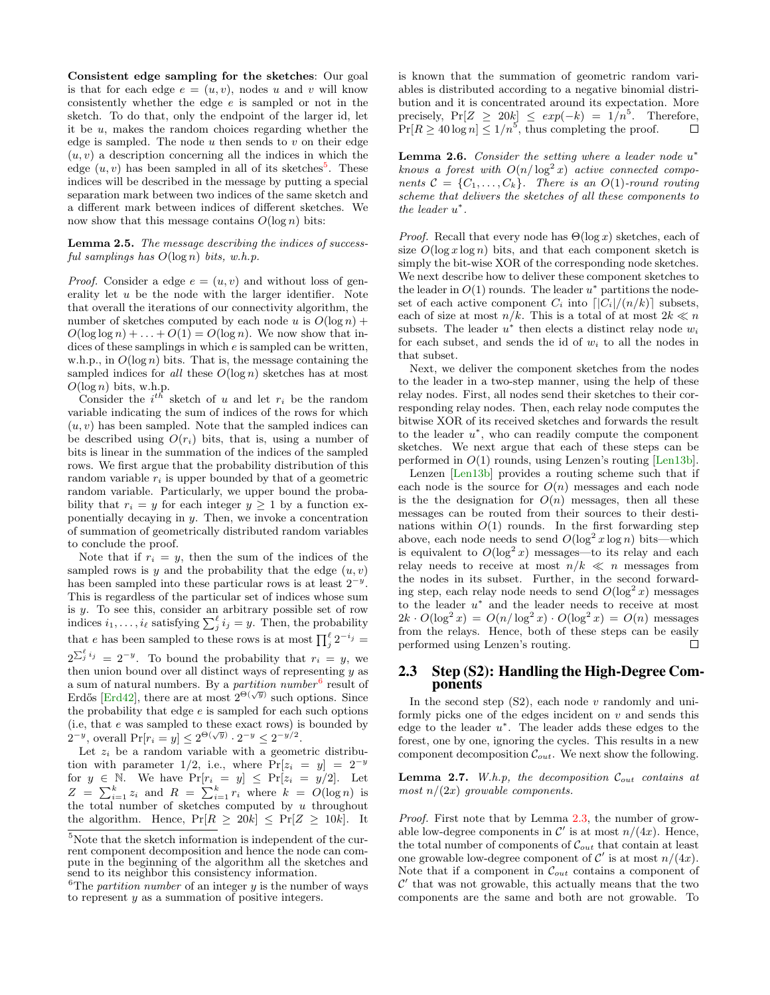Consistent edge sampling for the sketches: Our goal is that for each edge  $e = (u, v)$ , nodes u and v will know consistently whether the edge e is sampled or not in the sketch. To do that, only the endpoint of the larger id, let it be u, makes the random choices regarding whether the edge is sampled. The node  $u$  then sends to  $v$  on their edge  $(u, v)$  a description concerning all the indices in which the edge  $(u, v)$  has been sampled in all of its sketches<sup>[5](#page-5-1)</sup>. These indices will be described in the message by putting a special separation mark between two indices of the same sketch and a different mark between indices of different sketches. We now show that this message contains  $O(\log n)$  bits:

#### <span id="page-5-4"></span>Lemma 2.5. The message describing the indices of successful samplings has  $O(\log n)$  bits, w.h.p.

*Proof.* Consider a edge  $e = (u, v)$  and without loss of generality let  $u$  be the node with the larger identifier. Note that overall the iterations of our connectivity algorithm, the number of sketches computed by each node u is  $O(\log n)$  +  $O(\log \log n) + \ldots + O(1) = O(\log n)$ . We now show that indices of these samplings in which e is sampled can be written, w.h.p., in  $O(\log n)$  bits. That is, the message containing the sampled indices for all these  $O(\log n)$  sketches has at most  $O(\log n)$  bits, w.h.p.

Consider the  $i^{th}$  sketch of u and let  $r_i$  be the random variable indicating the sum of indices of the rows for which  $(u, v)$  has been sampled. Note that the sampled indices can be described using  $O(r_i)$  bits, that is, using a number of bits is linear in the summation of the indices of the sampled rows. We first argue that the probability distribution of this random variable  $r_i$  is upper bounded by that of a geometric random variable. Particularly, we upper bound the probability that  $r_i = y$  for each integer  $y \ge 1$  by a function exponentially decaying in  $y$ . Then, we invoke a concentration of summation of geometrically distributed random variables to conclude the proof.

Note that if  $r_i = y$ , then the sum of the indices of the sampled rows is y and the probability that the edge  $(u, v)$ has been sampled into these particular rows is at least  $2^{-y}$ . This is regardless of the particular set of indices whose sum is y. To see this, consider an arbitrary possible set of row indices  $i_1, \ldots, i_\ell$  satisfying  $\sum_j^\ell i_j = y$ . Then, the probability that e has been sampled to these rows is at most  $\prod_j^{\ell} 2^{-i_j} =$  $2^{\sum_{j=1}^{\ell} i_j} = 2^{-y}$ . To bound the probability that  $r_i = y$ , we then union bound over all distinct ways of representing  $y$  as a sum of natural numbers. By a *partition number*<sup>[6](#page-5-2)</sup> result of Erdős [\[Erd42\]](#page-8-7), there are at most  $2^{\Theta(\sqrt{y})}$  such options. Since the probability that edge  $e$  is sampled for each such options (i.e, that e was sampled to these exact rows) is bounded by  $2^{-y}$ , overall  $Pr[r_i = y] \leq 2^{\Theta(\sqrt{y})} \cdot 2^{-y} \leq 2^{-y/2}$ .

Let  $z_i$  be a random variable with a geometric distribution with parameter 1/2, i.e., where  $Pr[z_i = y] = 2^{-y}$ for  $y \in \mathbb{N}$ . We have  $\Pr[r_i = y] \leq \Pr[z_i = y/2]$ . Let  $Z = \sum_{i=1}^{k} z_i$  and  $R = \sum_{i=1}^{k} r_i$  where  $k = O(\log n)$  is the total number of sketches computed by  $u$  throughout the algorithm. Hence,  $Pr[R > 20k] < Pr[Z > 10k]$ . It is known that the summation of geometric random variables is distributed according to a negative binomial distribution and it is concentrated around its expectation. More precisely,  $Pr[Z \ge 20k] \le exp(-k) = 1/n^5$ . Therefore,  $Pr[R \ge 40 \log n] \le 1/n^5$ , thus completing the proof.  $\Box$ 

<span id="page-5-0"></span>**Lemma 2.6.** Consider the setting where a leader node  $u^*$ knows a forest with  $O(n/\log^2 x)$  active connected components  $C = \{C_1, \ldots, C_k\}$ . There is an  $O(1)$ -round routing scheme that delivers the sketches of all these components to the leader  $u^*$ .

*Proof.* Recall that every node has  $\Theta(\log x)$  sketches, each of size  $O(\log x \log n)$  bits, and that each component sketch is simply the bit-wise XOR of the corresponding node sketches. We next describe how to deliver these component sketches to the leader in  $O(1)$  rounds. The leader  $u^*$  partitions the nodeset of each active component  $C_i$  into  $\lfloor |C_i|/(n/k)\rfloor$  subsets, each of size at most  $n/k$ . This is a total of at most  $2k \ll n$ subsets. The leader  $u^*$  then elects a distinct relay node  $w_i$ for each subset, and sends the id of  $w_i$  to all the nodes in that subset.

Next, we deliver the component sketches from the nodes to the leader in a two-step manner, using the help of these relay nodes. First, all nodes send their sketches to their corresponding relay nodes. Then, each relay node computes the bitwise XOR of its received sketches and forwards the result to the leader  $u^*$ , who can readily compute the component sketches. We next argue that each of these steps can be performed in  $O(1)$  rounds, using Lenzen's routing [\[Len13b\]](#page-9-18).

Lenzen [\[Len13b\]](#page-9-18) provides a routing scheme such that if each node is the source for  $O(n)$  messages and each node is the the designation for  $O(n)$  messages, then all these messages can be routed from their sources to their destinations within  $O(1)$  rounds. In the first forwarding step above, each node needs to send  $O(\log^2 x \log n)$  bits—which is equivalent to  $O(\log^2 x)$  messages—to its relay and each relay needs to receive at most  $n/k \ll n$  messages from the nodes in its subset. Further, in the second forwarding step, each relay node needs to send  $O(\log^2 x)$  messages to the leader  $u^*$  and the leader needs to receive at most  $2k \cdot O(\log^2 x) = O(n/\log^2 x) \cdot O(\log^2 x) = O(n)$  messages from the relays. Hence, both of these steps can be easily performed using Lenzen's routing. П

## 2.3 Step (S2): Handling the High-Degree Components

In the second step  $(S2)$ , each node v randomly and uniformly picks one of the edges incident on  $v$  and sends this edge to the leader  $u^*$ . The leader adds these edges to the forest, one by one, ignoring the cycles. This results in a new component decomposition  $\mathcal{C}_{out}$ . We next show the following.

<span id="page-5-3"></span>**Lemma 2.7.** W.h.p, the decomposition  $\mathcal{C}_{out}$  contains at most  $n/(2x)$  growable components.

Proof. First note that by Lemma [2.3,](#page-3-2) the number of growable low-degree components in  $\mathcal{C}'$  is at most  $n/(4x)$ . Hence, the total number of components of  $\mathcal{C}_{out}$  that contain at least one growable low-degree component of  $\mathcal{C}'$  is at most  $n/(4x)$ . Note that if a component in  $\mathcal{C}_{out}$  contains a component of  $\mathcal{C}'$  that was not growable, this actually means that the two components are the same and both are not growable. To

<span id="page-5-1"></span><sup>&</sup>lt;sup>5</sup>Note that the sketch information is independent of the current component decomposition and hence the node can compute in the beginning of the algorithm all the sketches and send to its neighbor this consistency information.

<span id="page-5-2"></span><sup>&</sup>lt;sup>6</sup>The *partition number* of an integer  $y$  is the number of ways to represent y as a summation of positive integers.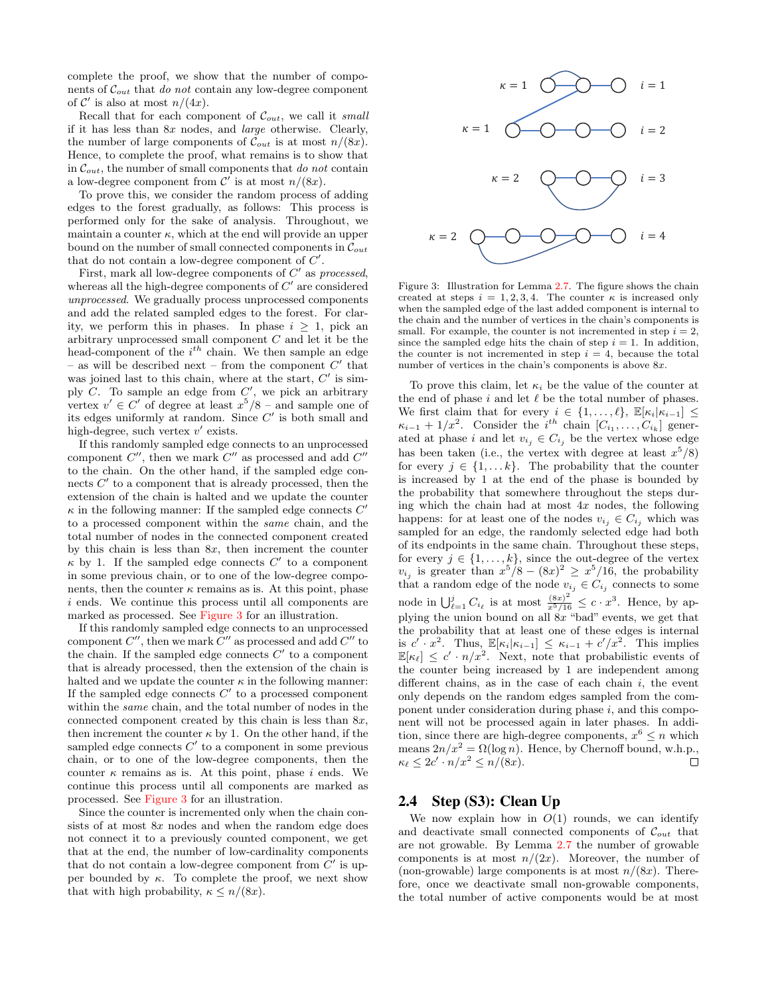complete the proof, we show that the number of components of  $\mathcal{C}_{out}$  that do not contain any low-degree component of  $\mathcal{C}'$  is also at most  $n/(4x)$ .

Recall that for each component of  $\mathcal{C}_{out}$ , we call it small if it has less than 8x nodes, and large otherwise. Clearly, the number of large components of  $\mathcal{C}_{out}$  is at most  $n/(8x)$ . Hence, to complete the proof, what remains is to show that in  $\mathcal{C}_{out}$ , the number of small components that do not contain a low-degree component from  $\mathcal{C}'$  is at most  $n/(8x)$ .

To prove this, we consider the random process of adding edges to the forest gradually, as follows: This process is performed only for the sake of analysis. Throughout, we maintain a counter  $\kappa$ , which at the end will provide an upper bound on the number of small connected components in  $\mathcal{C}_{out}$ that do not contain a low-degree component of  $C'$ .

First, mark all low-degree components of  $C'$  as processed, whereas all the high-degree components of  $C'$  are considered unprocessed. We gradually process unprocessed components and add the related sampled edges to the forest. For clarity, we perform this in phases. In phase  $i \geq 1$ , pick an arbitrary unprocessed small component C and let it be the head-component of the  $i^{th}$  chain. We then sample an edge – as will be described next – from the component  $C'$  that was joined last to this chain, where at the start,  $C'$  is simply  $C$ . To sample an edge from  $C'$ , we pick an arbitrary vertex  $v' \in C'$  of degree at least  $x^5/8$  – and sample one of its edges uniformly at random. Since  $C'$  is both small and high-degree, such vertex  $v'$  exists.

If this randomly sampled edge connects to an unprocessed component  $C''$ , then we mark  $C''$  as processed and add  $C''$ to the chain. On the other hand, if the sampled edge connects  $C'$  to a component that is already processed, then the extension of the chain is halted and we update the counter  $\kappa$  in the following manner: If the sampled edge connects  $C'$ to a processed component within the same chain, and the total number of nodes in the connected component created by this chain is less than  $8x$ , then increment the counter  $\kappa$  by 1. If the sampled edge connects  $C'$  to a component in some previous chain, or to one of the low-degree components, then the counter  $\kappa$  remains as is. At this point, phase  $i$  ends. We continue this process until all components are marked as processed. See [Figure 3](#page-6-0) for an illustration.

If this randomly sampled edge connects to an unprocessed component  $C''$ , then we mark  $C''$  as processed and add  $C''$  to the chain. If the sampled edge connects  $C'$  to a component that is already processed, then the extension of the chain is halted and we update the counter  $\kappa$  in the following manner: If the sampled edge connects  $C'$  to a processed component within the same chain, and the total number of nodes in the connected component created by this chain is less than  $8x$ , then increment the counter  $\kappa$  by 1. On the other hand, if the sampled edge connects  $C'$  to a component in some previous chain, or to one of the low-degree components, then the counter  $\kappa$  remains as is. At this point, phase i ends. We continue this process until all components are marked as processed. See [Figure 3](#page-6-0) for an illustration.

Since the counter is incremented only when the chain consists of at most  $8x$  nodes and when the random edge does not connect it to a previously counted component, we get that at the end, the number of low-cardinality components that do not contain a low-degree component from  $C'$  is upper bounded by  $\kappa$ . To complete the proof, we next show that with high probability,  $\kappa \leq n/(8x)$ .

<span id="page-6-0"></span>

Figure 3: Illustration for Lemma [2.7.](#page-5-3) The figure shows the chain created at steps  $i = 1, 2, 3, 4$ . The counter  $\kappa$  is increased only when the sampled edge of the last added component is internal to the chain and the number of vertices in the chain's components is small. For example, the counter is not incremented in step  $i = 2$ , since the sampled edge hits the chain of step  $i = 1$ . In addition, the counter is not incremented in step  $i = 4$ , because the total number of vertices in the chain's components is above 8x.

To prove this claim, let  $\kappa_i$  be the value of the counter at the end of phase  $i$  and let  $\ell$  be the total number of phases. We first claim that for every  $i \in \{1, \ldots, \ell\}, \ \mathbb{E}[\kappa_i|\kappa_{i-1}] \leq$  $\kappa_{i-1} + 1/x^2$ . Consider the  $i^{th}$  chain  $[C_{i_1}, \ldots, C_{i_k}]$  generated at phase i and let  $v_{i_j} \in C_{i_j}$  be the vertex whose edge has been taken (i.e., the vertex with degree at least  $x^5/8$ ) for every  $j \in \{1, \ldots k\}$ . The probability that the counter is increased by 1 at the end of the phase is bounded by the probability that somewhere throughout the steps during which the chain had at most  $4x$  nodes, the following happens: for at least one of the nodes  $v_{i_j} \in C_{i_j}$  which was sampled for an edge, the randomly selected edge had both of its endpoints in the same chain. Throughout these steps, for every  $j \in \{1, \ldots, k\}$ , since the out-degree of the vertex  $v_{i_j}$  is greater than  $x^5/8 - (8x)^2 \ge x^5/16$ , the probability that a random edge of the node  $v_{i_j} \in C_{i_j}$  connects to some node in  $\bigcup_{\ell=1}^j C_{i_\ell}$  is at most  $\frac{(8x)^2}{x^5/16} \leq c \cdot x^3$ . Hence, by applying the union bound on all  $8x$  "bad" events, we get that the probability that at least one of these edges is internal is  $c \cdot x^2$ . Thus,  $\mathbb{E}[\kappa_i|\kappa_{i-1}] \leq \kappa_{i-1} + c'/x^2$ . This implies  $\mathbb{E}[\kappa_{\ell}] \leq c' \cdot n/x^2$ . Next, note that probabilistic events of the counter being increased by 1 are independent among different chains, as in the case of each chain  $i$ , the event only depends on the random edges sampled from the component under consideration during phase  $i$ , and this component will not be processed again in later phases. In addition, since there are high-degree components,  $x^6 \leq n$  which means  $2n/x^2 = \Omega(\log n)$ . Hence, by Chernoff bound, w.h.p.,  $\kappa_{\ell} \leq 2c' \cdot n/x^2 \leq n/(8x).$  $\Box$ 

# 2.4 Step (S3): Clean Up

We now explain how in  $O(1)$  rounds, we can identify and deactivate small connected components of  $\mathcal{C}_{out}$  that are not growable. By Lemma [2.7](#page-5-3) the number of growable components is at most  $n/(2x)$ . Moreover, the number of (non-growable) large components is at most  $n/(8x)$ . Therefore, once we deactivate small non-growable components, the total number of active components would be at most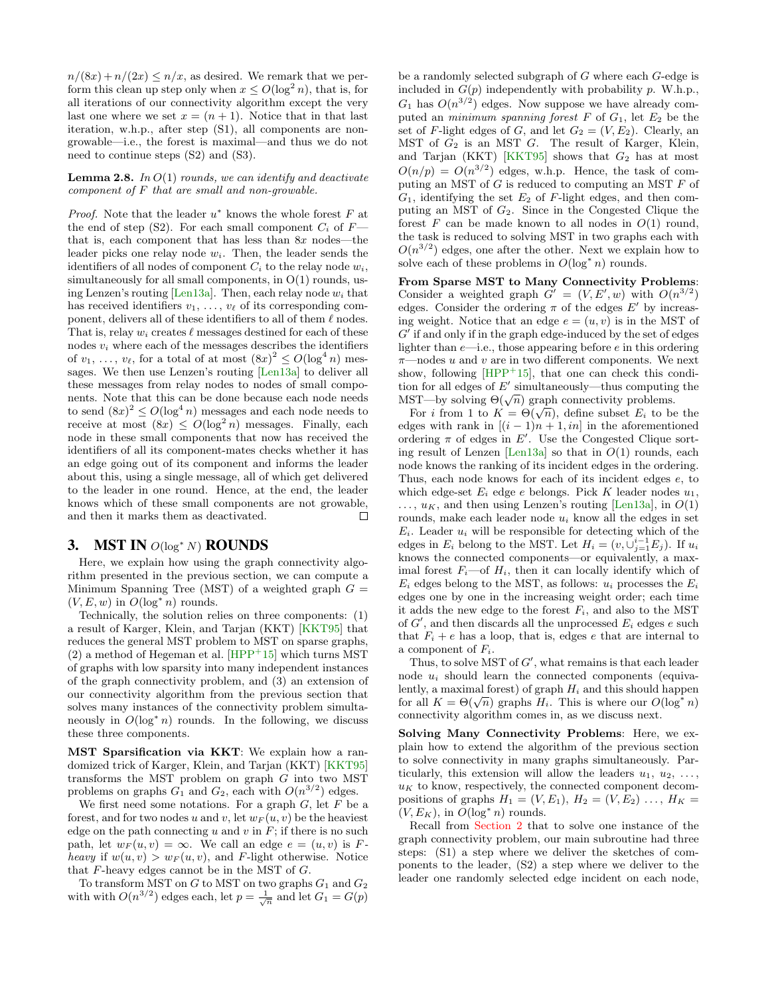$n/(8x) + n/(2x) \leq n/x$ , as desired. We remark that we perform this clean up step only when  $x \le O(\log^2 n)$ , that is, for all iterations of our connectivity algorithm except the very last one where we set  $x = (n + 1)$ . Notice that in that last iteration, w.h.p., after step (S1), all components are nongrowable—i.e., the forest is maximal—and thus we do not need to continue steps (S2) and (S3).

<span id="page-7-1"></span>**Lemma 2.8.** In  $O(1)$  rounds, we can identify and deactivate  $component\ of\ F\ that\ are\ small\ and\ non-grouable.$ 

*Proof.* Note that the leader  $u^*$  knows the whole forest  $F$  at the end of step (S2). For each small component  $C_i$  of  $F$ that is, each component that has less than  $8x$  nodes—the leader picks one relay node  $w_i$ . Then, the leader sends the identifiers of all nodes of component  $C_i$  to the relay node  $w_i$ , simultaneously for all small components, in O(1) rounds, us-ing Lenzen's routing [\[Len13a\]](#page-9-2). Then, each relay node  $w_i$  that has received identifiers  $v_1, \ldots, v_\ell$  of its corresponding component, delivers all of these identifiers to all of them  $\ell$  nodes. That is, relay  $w_i$  creates  $\ell$  messages destined for each of these nodes  $v_i$  where each of the messages describes the identifiers of  $v_1, \ldots, v_\ell$ , for a total of at most  $(8x)^2 \le O(\log^4 n)$  messages. We then use Lenzen's routing [\[Len13a\]](#page-9-2) to deliver all these messages from relay nodes to nodes of small components. Note that this can be done because each node needs to send  $(8x)^2 \leq O(\log^4 n)$  messages and each node needs to receive at most  $(8x) \leq O(\log^2 n)$  messages. Finally, each node in these small components that now has received the identifiers of all its component-mates checks whether it has an edge going out of its component and informs the leader about this, using a single message, all of which get delivered to the leader in one round. Hence, at the end, the leader knows which of these small components are not growable, and then it marks them as deactivated.  $\Box$ 

## <span id="page-7-0"></span>3. MST IN  $O(log^* N)$  ROUNDS

Here, we explain how using the graph connectivity algorithm presented in the previous section, we can compute a Minimum Spanning Tree (MST) of a weighted graph  $G =$  $(V, E, w)$  in  $O(\log^* n)$  rounds.

Technically, the solution relies on three components: (1) a result of Karger, Klein, and Tarjan (KKT) [\[KKT95\]](#page-9-19) that reduces the general MST problem to MST on sparse graphs,  $(2)$  a method of Hegeman et al. [\[HPP](#page-9-6)<sup>+</sup>15] which turns MST of graphs with low sparsity into many independent instances of the graph connectivity problem, and (3) an extension of our connectivity algorithm from the previous section that solves many instances of the connectivity problem simultaneously in  $O(\log^* n)$  rounds. In the following, we discuss these three components.

MST Sparsification via KKT: We explain how a randomized trick of Karger, Klein, and Tarjan (KKT) [\[KKT95\]](#page-9-19) transforms the MST problem on graph G into two MST problems on graphs  $G_1$  and  $G_2$ , each with  $O(n^{3/2})$  edges.

We first need some notations. For a graph  $G$ , let  $F$  be a forest, and for two nodes u and v, let  $w_F(u, v)$  be the heaviest edge on the path connecting u and v in  $F$ ; if there is no such path, let  $w_F(u, v) = \infty$ . We call an edge  $e = (u, v)$  is Fheavy if  $w(u, v) > w_F(u, v)$ , and F-light otherwise. Notice that F-heavy edges cannot be in the MST of G.

To transform MST on  $G$  to MST on two graphs  $G_1$  and  $G_2$ with with  $O(n^{3/2})$  edges each, let  $p = \frac{1}{\sqrt{n}}$  and let  $G_1 = G(p)$  be a randomly selected subgraph of G where each G-edge is included in  $G(p)$  independently with probability p. W.h.p.,  $G_1$  has  $O(n^{3/2})$  edges. Now suppose we have already computed an *minimum spanning forest*  $F$  of  $G_1$ , let  $E_2$  be the set of F-light edges of G, and let  $G_2 = (V, E_2)$ . Clearly, an MST of  $G_2$  is an MST  $G$ . The result of Karger, Klein, and Tarjan (KKT) [\[KKT95\]](#page-9-19) shows that  $G_2$  has at most  $O(n/p) = O(n^{3/2})$  edges, w.h.p. Hence, the task of computing an MST of  $G$  is reduced to computing an MST  $F$  of  $G_1$ , identifying the set  $E_2$  of  $F$ -light edges, and then computing an MST of G2. Since in the Congested Clique the forest  $F$  can be made known to all nodes in  $O(1)$  round, the task is reduced to solving MST in two graphs each with  $O(n^{3/2})$  edges, one after the other. Next we explain how to solve each of these problems in  $O(\log^* n)$  rounds.

From Sparse MST to Many Connectivity Problems: Consider a weighted graph  $G' = (V, E', w)$  with  $O(n^{3/2})$ edges. Consider the ordering  $\pi$  of the edges  $E'$  by increasing weight. Notice that an edge  $e = (u, v)$  is in the MST of  $G'$  if and only if in the graph edge-induced by the set of edges lighter than  $e$ —i.e., those appearing before  $e$  in this ordering  $\pi$ —nodes u and v are in two different components. We next show, following  $[HPP<sup>+</sup>15]$  $[HPP<sup>+</sup>15]$ , that one can check this condition for all edges of  $E'$  simultaneously—thus computing the tion for an edges of E simultaneously—thus computing MST—by solving  $\Theta(\sqrt{n})$  graph connectivity problems.

 $S1$ —by solving  $\Theta(\sqrt{n})$  graph connectivity problems.<br>For i from 1 to  $K = \Theta(\sqrt{n})$ , define subset  $E_i$  to be the edges with rank in  $[(i - 1)n + 1, in]$  in the aforementioned ordering  $\pi$  of edges in  $E'$ . Use the Congested Clique sort-ing result of Lenzen [\[Len13a\]](#page-9-2) so that in  $O(1)$  rounds, each node knows the ranking of its incident edges in the ordering. Thus, each node knows for each of its incident edges e, to which edge-set  $E_i$  edge e belongs. Pick K leader nodes  $u_1$ ,  $\ldots$ ,  $u_K$ , and then using Lenzen's routing [\[Len13a\]](#page-9-2), in  $O(1)$ rounds, make each leader node  $u_i$  know all the edges in set  $E_i$ . Leader  $u_i$  will be responsible for detecting which of the edges in  $E_i$  belong to the MST. Let  $H_i = (v, \overline{\bigcup_{j=1}^{i-1} E_j})$ . If  $u_i$ knows the connected components—or equivalently, a maximal forest  $F_i$ —of  $H_i$ , then it can locally identify which of  $E_i$  edges belong to the MST, as follows:  $u_i$  processes the  $E_i$ edges one by one in the increasing weight order; each time it adds the new edge to the forest  $F_i$ , and also to the MST of  $G'$ , and then discards all the unprocessed  $E_i$  edges e such that  $F_i + e$  has a loop, that is, edges e that are internal to a component of  $F_i$ .

Thus, to solve MST of  $G'$ , what remains is that each leader node  $u_i$  should learn the connected components (equivalently, a maximal forest) of graph  $H_i$  and this should happen for all  $K = \Theta(\sqrt{n})$  graphs  $H_i$ . This is where our  $O(\log^* n)$ connectivity algorithm comes in, as we discuss next.

Solving Many Connectivity Problems: Here, we explain how to extend the algorithm of the previous section to solve connectivity in many graphs simultaneously. Particularly, this extension will allow the leaders  $u_1, u_2, \ldots$ ,  $u_K$  to know, respectively, the connected component decompositions of graphs  $H_1 = (V, E_1), H_2 = (V, E_2) \dots, H_K =$  $(V, E_K)$ , in  $O(\log^* n)$  rounds.

Recall from [Section 2](#page-1-3) that to solve one instance of the graph connectivity problem, our main subroutine had three steps: (S1) a step where we deliver the sketches of components to the leader, (S2) a step where we deliver to the leader one randomly selected edge incident on each node,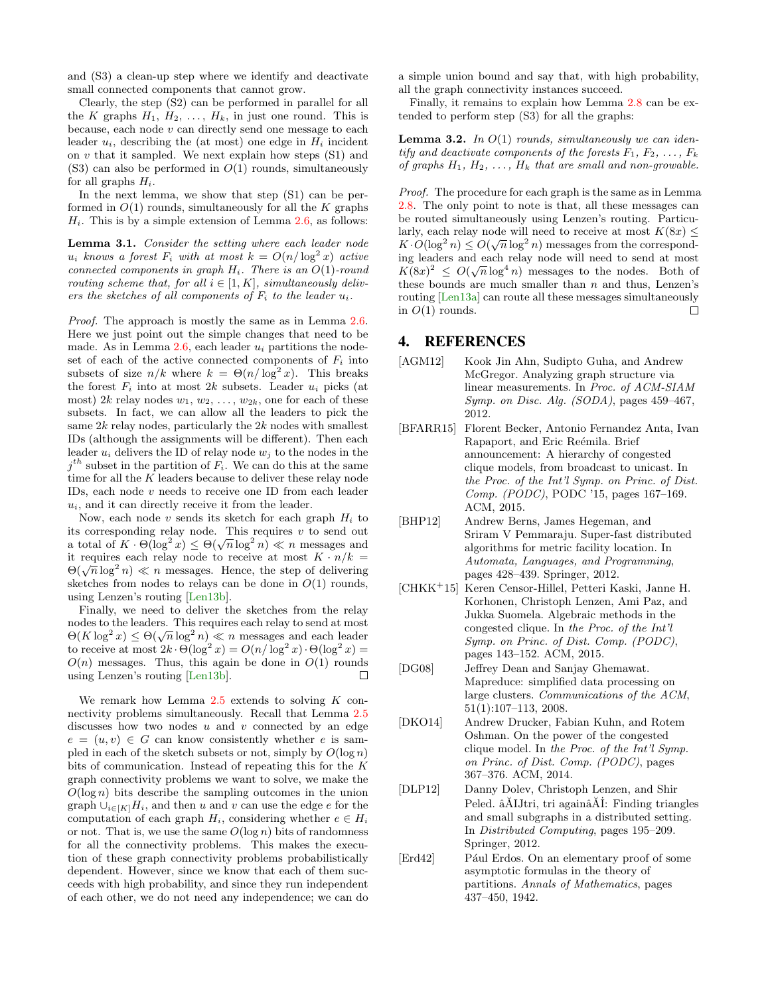and (S3) a clean-up step where we identify and deactivate small connected components that cannot grow.

Clearly, the step (S2) can be performed in parallel for all the K graphs  $H_1, H_2, \ldots, H_k$ , in just one round. This is because, each node  $v$  can directly send one message to each leader  $u_i$ , describing the (at most) one edge in  $H_i$  incident on  $v$  that it sampled. We next explain how steps  $(S1)$  and  $(S3)$  can also be performed in  $O(1)$  rounds, simultaneously for all graphs  $H_i$ .

In the next lemma, we show that step (S1) can be performed in  $O(1)$  rounds, simultaneously for all the K graphs  $H_i$ . This is by a simple extension of Lemma [2.6,](#page-5-0) as follows:

Lemma 3.1. Consider the setting where each leader node  $u_i$  knows a forest  $F_i$  with at most  $k = O(n/\log^2 x)$  active connected components in graph  $H_i$ . There is an  $O(1)$ -round routing scheme that, for all  $i \in [1, K]$ , simultaneously delivers the sketches of all components of  $F_i$  to the leader  $u_i$ .

Proof. The approach is mostly the same as in Lemma [2.6.](#page-5-0) Here we just point out the simple changes that need to be made. As in Lemma  $2.6$ , each leader  $u_i$  partitions the nodeset of each of the active connected components of  $F_i$  into subsets of size  $n/k$  where  $k = \Theta(n/\log^2 x)$ . This breaks the forest  $F_i$  into at most  $2k$  subsets. Leader  $u_i$  picks (at most)  $2k$  relay nodes  $w_1, w_2, \ldots, w_{2k}$ , one for each of these subsets. In fact, we can allow all the leaders to pick the same  $2k$  relay nodes, particularly the  $2k$  nodes with smallest IDs (although the assignments will be different). Then each leader  $u_i$  delivers the ID of relay node  $w_j$  to the nodes in the  $j<sup>th</sup>$  subset in the partition of  $F_i$ . We can do this at the same time for all the  $K$  leaders because to deliver these relay node IDs, each node  $v$  needs to receive one ID from each leader  $u_i$ , and it can directly receive it from the leader.

Now, each node  $v$  sends its sketch for each graph  $H_i$  to its corresponding relay node. This requires  $v$  to send out a total of  $K \cdot \Theta(\log^2 x) \leq \Theta(\sqrt{n} \log^2 n) \ll n$  messages and it requires each relay node to receive at most  $K \cdot n/k =$ It requires each relay hode to receive at most  $\mathbf{R} \cdot n/\kappa =$ <br>Θ( $\sqrt{n} \log^2 n$ ) ≪ *n* messages. Hence, the step of delivering sketches from nodes to relays can be done in  $O(1)$  rounds, using Lenzen's routing [\[Len13b\]](#page-9-18).

Finally, we need to deliver the sketches from the relay nodes to the leaders. This requires each relay to send at most nodes to the readers. This requires each relay to send at most<br> $\Theta(K \log^2 x) \leq \Theta(\sqrt{n} \log^2 n) \ll n$  messages and each leader to receive at most  $2k \cdot \Theta(\log^2 x) = O(n/\log^2 x) \cdot \Theta(\log^2 x) =$  $O(n)$  messages. Thus, this again be done in  $O(1)$  rounds using Lenzen's routing [\[Len13b\]](#page-9-18).  $\Box$ 

We remark how Lemma  $2.5$  extends to solving K connectivity problems simultaneously. Recall that Lemma [2.5](#page-5-4) discusses how two nodes  $u$  and  $v$  connected by an edge  $e = (u, v) \in G$  can know consistently whether e is sampled in each of the sketch subsets or not, simply by  $O(\log n)$ bits of communication. Instead of repeating this for the K graph connectivity problems we want to solve, we make the  $O(\log n)$  bits describe the sampling outcomes in the union graph  $\bigcup_{i\in[K]}H_i$ , and then u and v can use the edge e for the computation of each graph  $H_i$ , considering whether  $e \in H_i$ or not. That is, we use the same  $O(\log n)$  bits of randomness for all the connectivity problems. This makes the execution of these graph connectivity problems probabilistically dependent. However, since we know that each of them succeeds with high probability, and since they run independent of each other, we do not need any independence; we can do a simple union bound and say that, with high probability, all the graph connectivity instances succeed.

Finally, it remains to explain how Lemma [2.8](#page-7-1) can be extended to perform step (S3) for all the graphs:

**Lemma 3.2.** In  $O(1)$  rounds, simultaneously we can identify and deactivate components of the forests  $F_1, F_2, \ldots, F_k$ of graphs  $H_1, H_2, \ldots, H_k$  that are small and non-growable.

Proof. The procedure for each graph is the same as in Lemma [2.8.](#page-7-1) The only point to note is that, all these messages can be routed simultaneously using Lenzen's routing. Particularly, each relay node will need to receive at most  $K(8x)$  < arry, each relay hode will held to receive at most  $K(\alpha x) \leq K \cdot O(\log^2 n) \leq O(\sqrt{n} \log^2 n)$  messages from the corresponding leaders and each relay node will need to send at most  $K(8x)^2 \le O(\sqrt{n} \log^4 n)$  messages to the nodes. Both of these bounds are much smaller than  $n$  and thus, Lenzen's routing [\[Len13a\]](#page-9-2) can route all these messages simultaneously in  $O(1)$  rounds.  $\Box$ 

## 4. REFERENCES

- <span id="page-8-6"></span>[AGM12] Kook Jin Ahn, Sudipto Guha, and Andrew McGregor. Analyzing graph structure via linear measurements. In Proc. of ACM-SIAM Symp. on Disc. Alg. (SODA), pages 459–467, 2012.
- <span id="page-8-4"></span>[BFARR15] Florent Becker, Antonio Fernandez Anta, Ivan Rapaport, and Eric Reémila. Brief announcement: A hierarchy of congested clique models, from broadcast to unicast. In the Proc. of the Int'l Symp. on Princ. of Dist. Comp. (PODC), PODC '15, pages 167–169. ACM, 2015.
- <span id="page-8-1"></span>[BHP12] Andrew Berns, James Hegeman, and Sriram V Pemmaraju. Super-fast distributed algorithms for metric facility location. In Automata, Languages, and Programming, pages 428–439. Springer, 2012.
- <span id="page-8-3"></span>[CHKK<sup>+</sup>15] Keren Censor-Hillel, Petteri Kaski, Janne H. Korhonen, Christoph Lenzen, Ami Paz, and Jukka Suomela. Algebraic methods in the congested clique. In the Proc. of the Int'l Symp. on Princ. of Dist. Comp. (PODC), pages 143–152. ACM, 2015.
- <span id="page-8-5"></span>[DG08] Jeffrey Dean and Sanjay Ghemawat. Mapreduce: simplified data processing on large clusters. Communications of the ACM, 51(1):107–113, 2008.
- <span id="page-8-2"></span>[DKO14] Andrew Drucker, Fabian Kuhn, and Rotem Oshman. On the power of the congested clique model. In the Proc. of the Int'l Symp. on Princ. of Dist. Comp. (PODC), pages 367–376. ACM, 2014.
- <span id="page-8-0"></span>[DLP12] Danny Dolev, Christoph Lenzen, and Shir Peled.  $\tilde{a}$ AIJtri, tri again $\tilde{a}$ AI: Finding triangles and small subgraphs in a distributed setting. In Distributed Computing, pages 195–209. Springer, 2012.
- <span id="page-8-7"></span>[Erd42] Pául Erdos. On an elementary proof of some asymptotic formulas in the theory of partitions. Annals of Mathematics, pages 437–450, 1942.